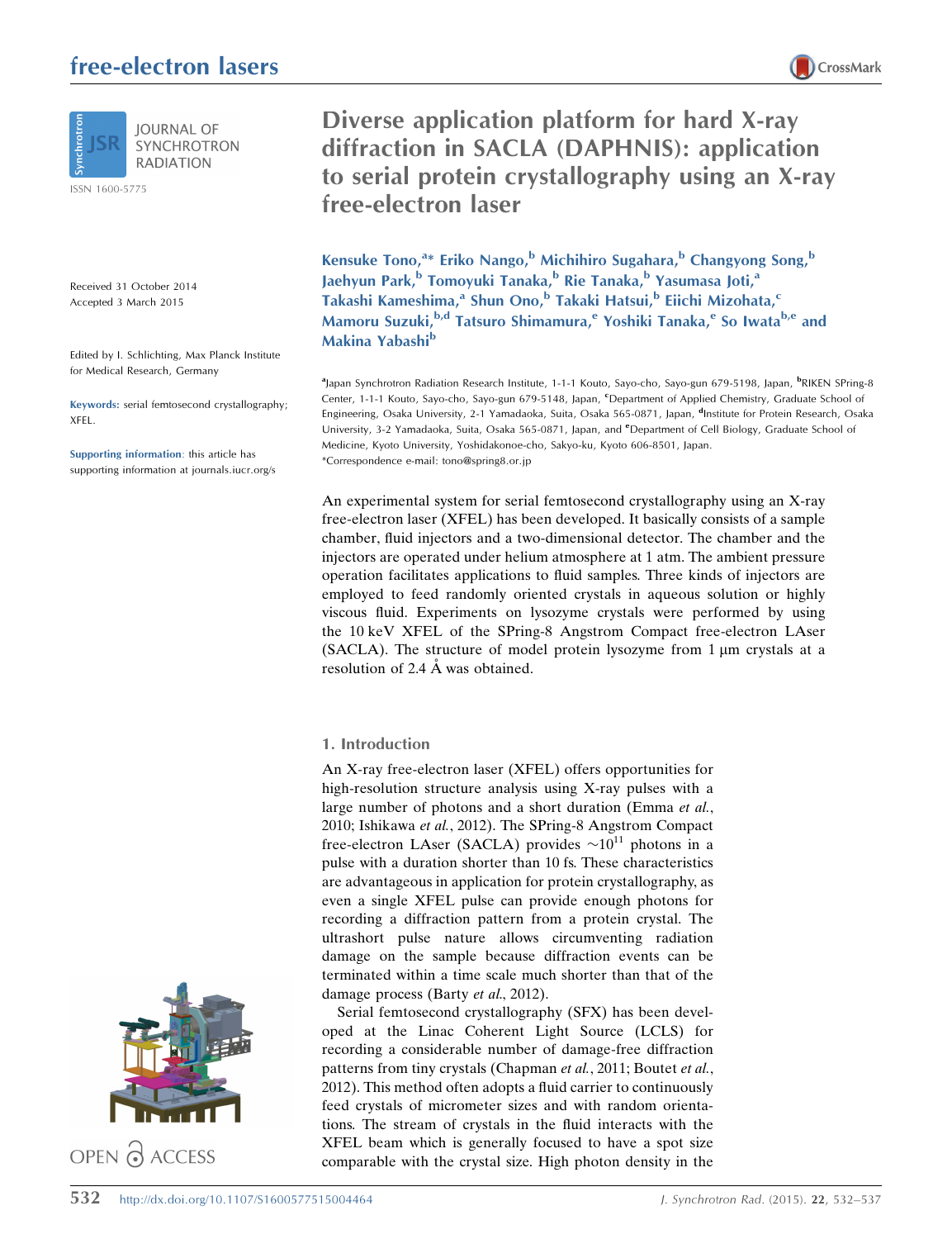# free-electron lasers



**IOURNAL OF SYNCHROTRON RADIATION** 

ISSN 1600-5775

Received 31 October 2014 Accepted 3 March 2015

Edited by I. Schlichting, Max Planck Institute for Medical Research, Germany

Keywords: serial femtosecond crystallography; XFEL.

Supporting information: this article has supporting information at journals.iucr.org/s



Diverse application platform for hard X-ray diffraction in SACLA (DAPHNIS): application to serial protein crystallography using an X-ray free-electron laser

CrossMark

Kensuke Tono,<sup>a</sup>\* Eriko Nango,<sup>b</sup> Michihiro Sugahara,<sup>b</sup> Changyong Song,<sup>b</sup> Jaehyun Park,<sup>b</sup> Tomoyuki Tanaka,<sup>b</sup> Rie Tanaka,<sup>b</sup> Yasumasa Joti,<sup>a</sup> Takashi Kameshima,<sup>a</sup> Shun Ono,<sup>b</sup> Takaki Hatsui,<sup>b</sup> Eiichi Mizohata,<sup>c</sup> Mamoru Suzuki, <sup>b,d</sup> Tatsuro Shimamura, <sup>e</sup> Yoshiki Tanaka, <sup>e</sup> So Iwata<sup>b, e</sup> and Makina Yabashi<sup>b</sup>

<sup>a</sup>Japan Synchrotron Radiation Research Institute, 1-1-1 Kouto, Sayo-cho, Sayo-gun 679-5198, Japan, <sup>b</sup>RIKEN SPring-8 Center, 1-1-1 Kouto, Sayo-cho, Sayo-gun 679-5148, Japan, <sup>c</sup>Department of Applied Chemistry, Graduate School of Engineering, Osaka University, 2-1 Yamadaoka, Suita, Osaka 565-0871, Japan, <sup>d</sup>Institute for Protein Research, Osaka University, 3-2 Yamadaoka, Suita, Osaka 565-0871, Japan, and *<sup>e</sup>Department of Cell Biology, Graduate School of* Medicine, Kyoto University, Yoshidakonoe-cho, Sakyo-ku, Kyoto 606-8501, Japan. \*Correspondence e-mail: tono@spring8.or.jp

An experimental system for serial femtosecond crystallography using an X-ray free-electron laser (XFEL) has been developed. It basically consists of a sample chamber, fluid injectors and a two-dimensional detector. The chamber and the injectors are operated under helium atmosphere at 1 atm. The ambient pressure operation facilitates applications to fluid samples. Three kinds of injectors are employed to feed randomly oriented crystals in aqueous solution or highly viscous fluid. Experiments on lysozyme crystals were performed by using the 10 keV XFEL of the SPring-8 Angstrom Compact free-electron LAser (SACLA). The structure of model protein lysozyme from  $1 \mu m$  crystals at a resolution of 2.4 Å was obtained.

## 1. Introduction

An X-ray free-electron laser (XFEL) offers opportunities for high-resolution structure analysis using X-ray pulses with a large number of photons and a short duration (Emma et al., 2010; Ishikawa et al., 2012). The SPring-8 Angstrom Compact free-electron LAser (SACLA) provides  $\sim 10^{11}$  photons in a pulse with a duration shorter than 10 fs. These characteristics are advantageous in application for protein crystallography, as even a single XFEL pulse can provide enough photons for recording a diffraction pattern from a protein crystal. The ultrashort pulse nature allows circumventing radiation damage on the sample because diffraction events can be terminated within a time scale much shorter than that of the damage process (Barty et al., 2012).

Serial femtosecond crystallography (SFX) has been developed at the Linac Coherent Light Source (LCLS) for recording a considerable number of damage-free diffraction patterns from tiny crystals (Chapman et al., 2011; Boutet et al., 2012). This method often adopts a fluid carrier to continuously feed crystals of micrometer sizes and with random orientations. The stream of crystals in the fluid interacts with the XFEL beam which is generally focused to have a spot size comparable with the crystal size. High photon density in the

532 http://dx.doi.org/10.1107/S1600577515004464 J. Synchrotron Rad. (2015). <sup>22</sup>, 532–537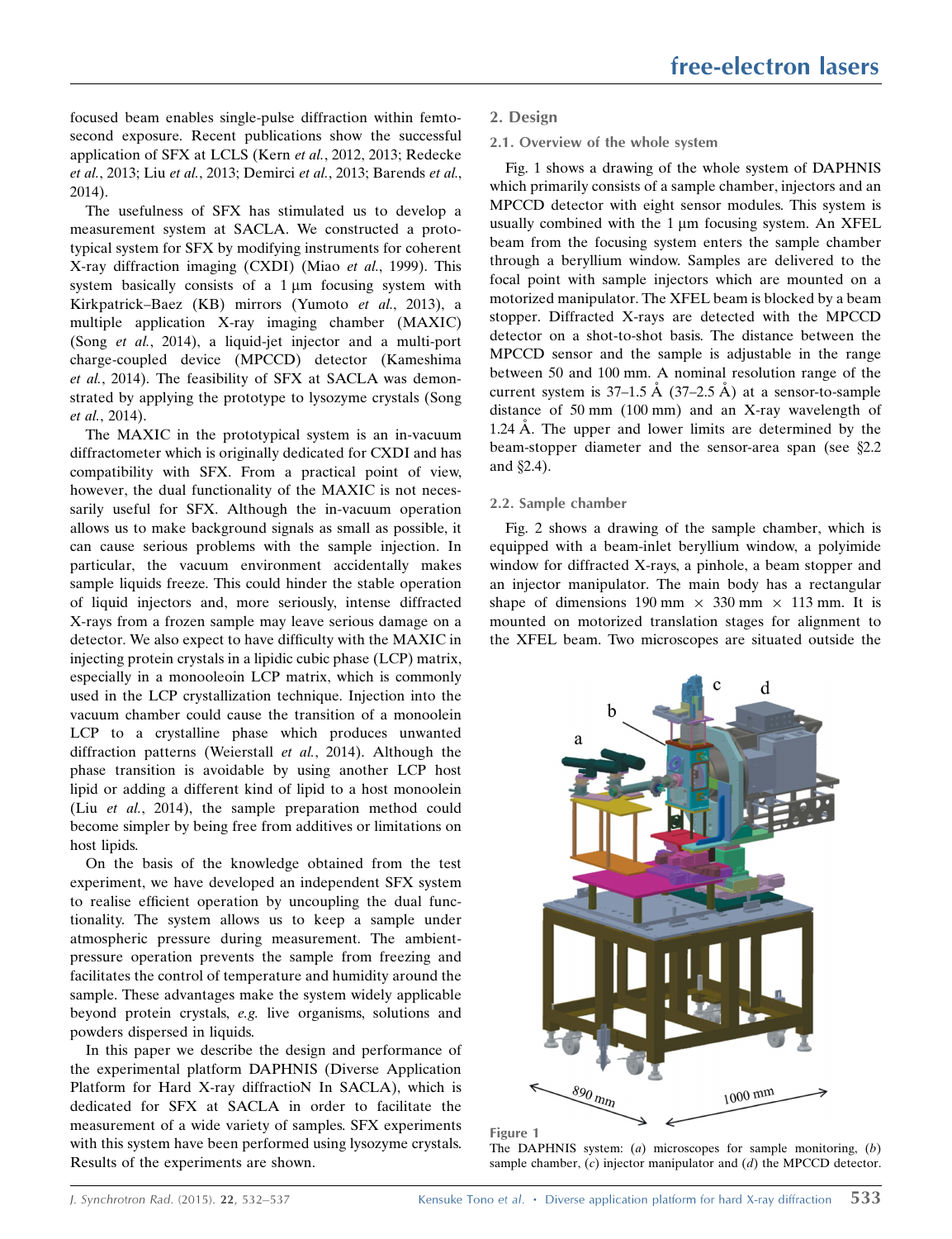focused beam enables single-pulse diffraction within femtosecond exposure. Recent publications show the successful application of SFX at LCLS (Kern et al., 2012, 2013; Redecke et al., 2013; Liu et al., 2013; Demirci et al., 2013; Barends et al., 2014).

The usefulness of SFX has stimulated us to develop a measurement system at SACLA. We constructed a prototypical system for SFX by modifying instruments for coherent X-ray diffraction imaging (CXDI) (Miao et al., 1999). This system basically consists of a  $1 \mu m$  focusing system with Kirkpatrick–Baez (KB) mirrors (Yumoto et al., 2013), a multiple application X-ray imaging chamber (MAXIC) (Song et al., 2014), a liquid-jet injector and a multi-port charge-coupled device (MPCCD) detector (Kameshima et al., 2014). The feasibility of SFX at SACLA was demonstrated by applying the prototype to lysozyme crystals (Song et al., 2014).

The MAXIC in the prototypical system is an in-vacuum diffractometer which is originally dedicated for CXDI and has compatibility with SFX. From a practical point of view, however, the dual functionality of the MAXIC is not necessarily useful for SFX. Although the in-vacuum operation allows us to make background signals as small as possible, it can cause serious problems with the sample injection. In particular, the vacuum environment accidentally makes sample liquids freeze. This could hinder the stable operation of liquid injectors and, more seriously, intense diffracted X-rays from a frozen sample may leave serious damage on a detector. We also expect to have difficulty with the MAXIC in injecting protein crystals in a lipidic cubic phase (LCP) matrix, especially in a monooleoin LCP matrix, which is commonly used in the LCP crystallization technique. Injection into the vacuum chamber could cause the transition of a monoolein LCP to a crystalline phase which produces unwanted diffraction patterns (Weierstall et al., 2014). Although the phase transition is avoidable by using another LCP host lipid or adding a different kind of lipid to a host monoolein (Liu et al., 2014), the sample preparation method could become simpler by being free from additives or limitations on host lipids.

On the basis of the knowledge obtained from the test experiment, we have developed an independent SFX system to realise efficient operation by uncoupling the dual functionality. The system allows us to keep a sample under atmospheric pressure during measurement. The ambientpressure operation prevents the sample from freezing and facilitates the control of temperature and humidity around the sample. These advantages make the system widely applicable beyond protein crystals, e.g. live organisms, solutions and powders dispersed in liquids.

In this paper we describe the design and performance of the experimental platform DAPHNIS (Diverse Application Platform for Hard X-ray diffractioN In SACLA), which is dedicated for SFX at SACLA in order to facilitate the measurement of a wide variety of samples. SFX experiments with this system have been performed using lysozyme crystals. Results of the experiments are shown.

# 2. Design

## 2.1. Overview of the whole system

Fig. 1 shows a drawing of the whole system of DAPHNIS which primarily consists of a sample chamber, injectors and an MPCCD detector with eight sensor modules. This system is usually combined with the 1 um focusing system. An XFEL beam from the focusing system enters the sample chamber through a beryllium window. Samples are delivered to the focal point with sample injectors which are mounted on a motorized manipulator. The XFEL beam is blocked by a beam stopper. Diffracted X-rays are detected with the MPCCD detector on a shot-to-shot basis. The distance between the MPCCD sensor and the sample is adjustable in the range between 50 and 100 mm. A nominal resolution range of the current system is  $37-1.5$  Å  $(37-2.5$  Å) at a sensor-to-sample distance of 50 mm (100 mm) and an X-ray wavelength of 1.24 A. The upper and lower limits are determined by the beam-stopper diameter and the sensor-area span (see  $\S 2.2$ ) and  $\S$ 2.4).

## 2.2. Sample chamber

Fig. 2 shows a drawing of the sample chamber, which is equipped with a beam-inlet beryllium window, a polyimide window for diffracted X-rays, a pinhole, a beam stopper and an injector manipulator. The main body has a rectangular shape of dimensions 190 mm  $\times$  330 mm  $\times$  113 mm. It is mounted on motorized translation stages for alignment to the XFEL beam. Two microscopes are situated outside the



Figure 1 The DAPHNIS system:  $(a)$  microscopes for sample monitoring,  $(b)$ sample chamber,  $(c)$  injector manipulator and  $(d)$  the MPCCD detector.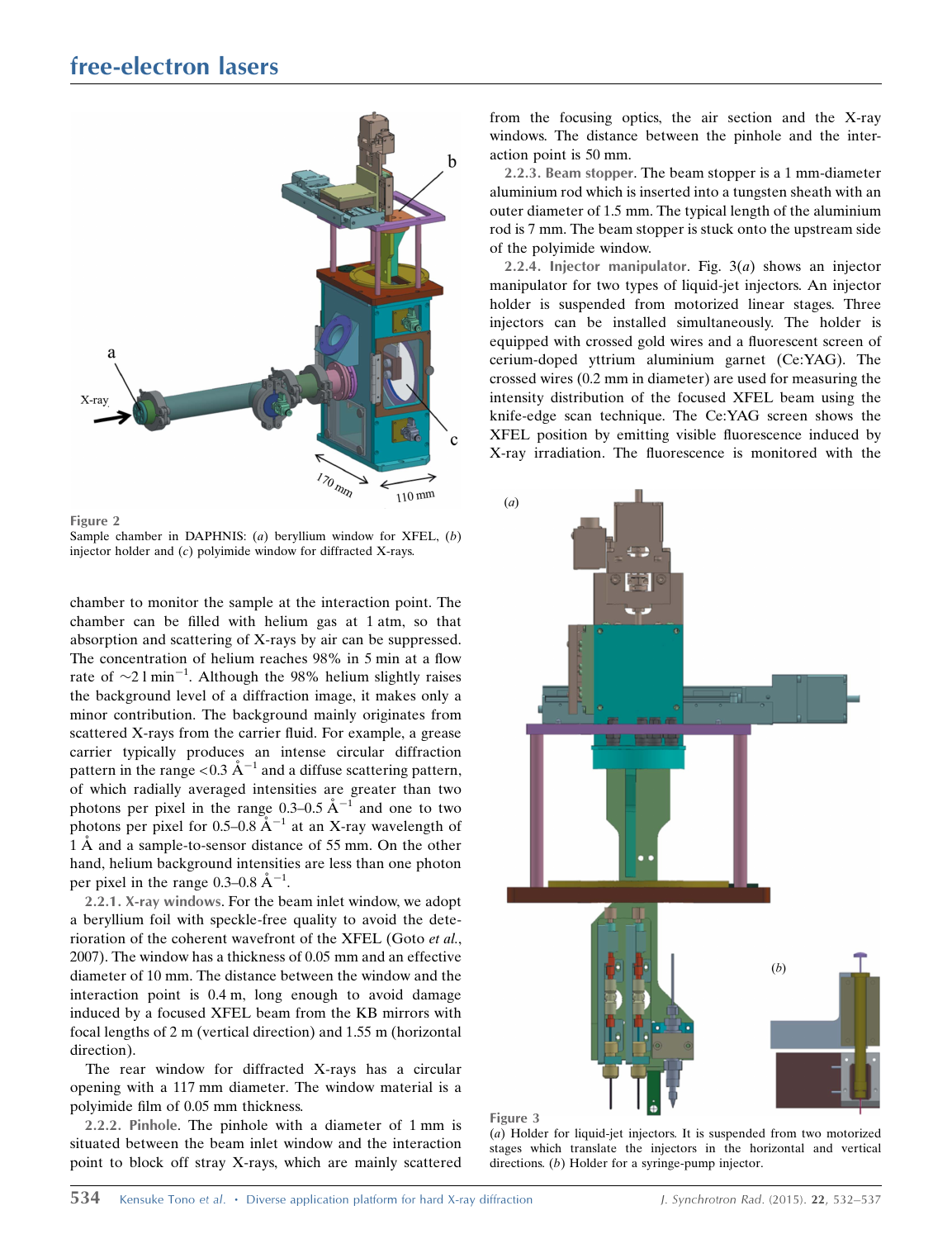

Sample chamber in DAPHNIS:  $(a)$  beryllium window for XFEL,  $(b)$ injector holder and  $(c)$  polyimide window for diffracted X-rays.

chamber to monitor the sample at the interaction point. The chamber can be filled with helium gas at 1 atm, so that absorption and scattering of X-rays by air can be suppressed. The concentration of helium reaches 98% in 5 min at a flow rate of  $\sim$ 2 l min<sup>-1</sup>. Although the 98% helium slightly raises the background level of a diffraction image, it makes only a minor contribution. The background mainly originates from scattered X-rays from the carrier fluid. For example, a grease carrier typically produces an intense circular diffraction pattern in the range <0.3  $\AA^{-1}$  and a diffuse scattering pattern, of which radially averaged intensities are greater than two photons per pixel in the range  $0.3-0.5 \text{ Å}^{-1}$  and one to two photons per pixel for  $0.5-0.8$   $A^{-1}$  at an X-ray wavelength of 1 Å and a sample-to-sensor distance of 55 mm. On the other hand, helium background intensities are less than one photon per pixel in the range 0.3–0.8  $\AA^{-1}$ .

2.2.1. X-ray windows. For the beam inlet window, we adopt a beryllium foil with speckle-free quality to avoid the deterioration of the coherent wavefront of the XFEL (Goto et al., 2007). The window has a thickness of 0.05 mm and an effective diameter of 10 mm. The distance between the window and the interaction point is 0.4 m, long enough to avoid damage induced by a focused XFEL beam from the KB mirrors with focal lengths of 2 m (vertical direction) and 1.55 m (horizontal direction).

The rear window for diffracted X-rays has a circular opening with a 117 mm diameter. The window material is a polyimide film of 0.05 mm thickness.

2.2.2. Pinhole. The pinhole with a diameter of 1 mm is situated between the beam inlet window and the interaction point to block off stray X-rays, which are mainly scattered from the focusing optics, the air section and the X-ray windows. The distance between the pinhole and the interaction point is 50 mm.

2.2.3. Beam stopper. The beam stopper is a 1 mm-diameter aluminium rod which is inserted into a tungsten sheath with an outer diameter of 1.5 mm. The typical length of the aluminium rod is 7 mm. The beam stopper is stuck onto the upstream side of the polyimide window.

2.2.4. Injector manipulator. Fig.  $3(a)$  shows an injector manipulator for two types of liquid-jet injectors. An injector holder is suspended from motorized linear stages. Three injectors can be installed simultaneously. The holder is equipped with crossed gold wires and a fluorescent screen of cerium-doped yttrium aluminium garnet (Ce:YAG). The crossed wires (0.2 mm in diameter) are used for measuring the intensity distribution of the focused XFEL beam using the knife-edge scan technique. The Ce:YAG screen shows the XFEL position by emitting visible fluorescence induced by X-ray irradiation. The fluorescence is monitored with the



Figure 3

(a) Holder for liquid-jet injectors. It is suspended from two motorized stages which translate the injectors in the horizontal and vertical directions. (b) Holder for a syringe-pump injector.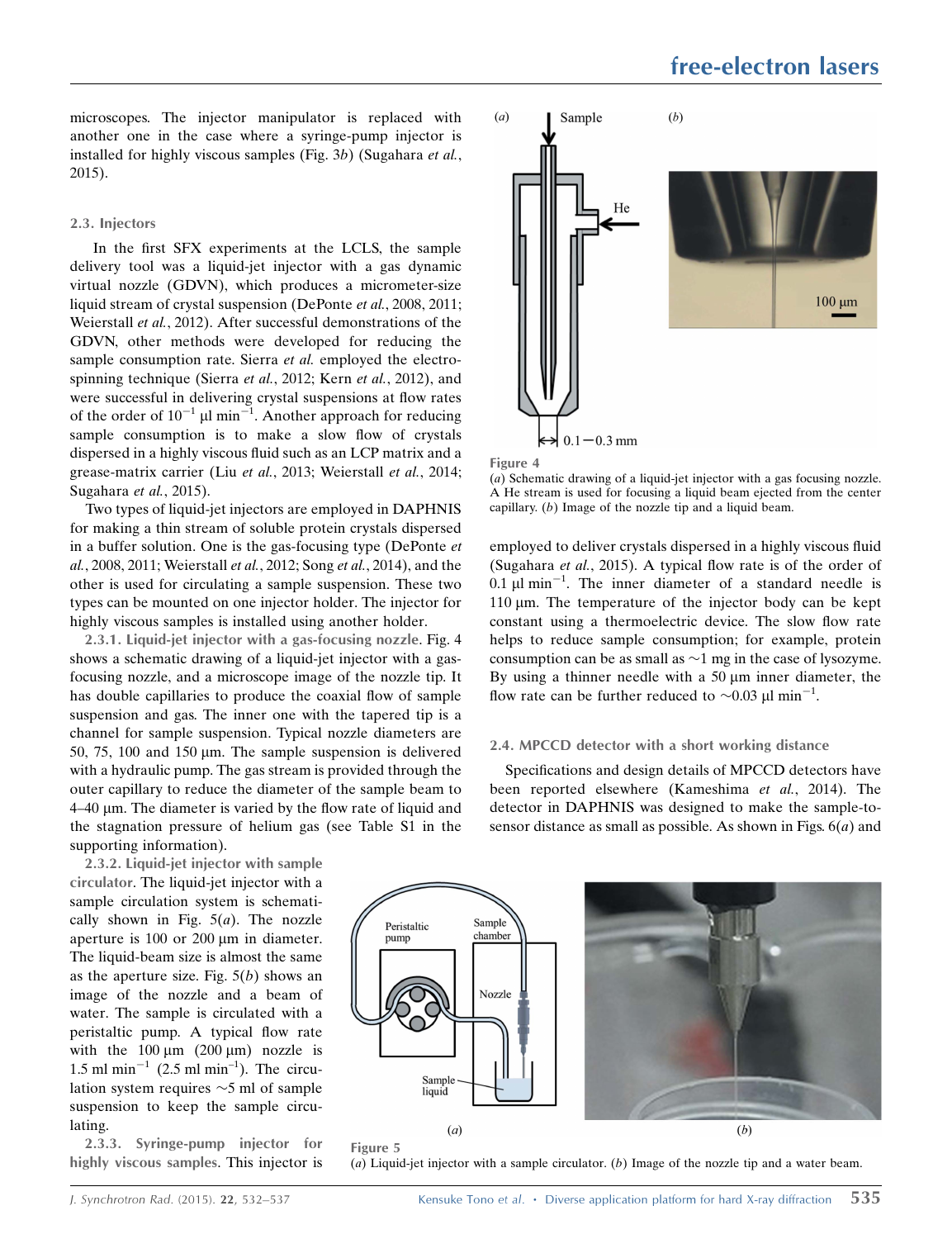microscopes. The injector manipulator is replaced with another one in the case where a syringe-pump injector is installed for highly viscous samples (Fig. 3b) (Sugahara et al., 2015).

# 2.3. Injectors

In the first SFX experiments at the LCLS, the sample delivery tool was a liquid-jet injector with a gas dynamic virtual nozzle (GDVN), which produces a micrometer-size liquid stream of crystal suspension (DePonte et al., 2008, 2011; Weierstall et al., 2012). After successful demonstrations of the GDVN, other methods were developed for reducing the sample consumption rate. Sierra et al. employed the electrospinning technique (Sierra et al., 2012; Kern et al., 2012), and were successful in delivering crystal suspensions at flow rates of the order of  $10^{-1}$   $\mu$ l min<sup>-1</sup>. Another approach for reducing sample consumption is to make a slow flow of crystals dispersed in a highly viscous fluid such as an LCP matrix and a grease-matrix carrier (Liu et al., 2013; Weierstall et al., 2014; Sugahara et al., 2015).

Two types of liquid-jet injectors are employed in DAPHNIS for making a thin stream of soluble protein crystals dispersed in a buffer solution. One is the gas-focusing type (DePonte et al., 2008, 2011; Weierstall et al., 2012; Song et al., 2014), and the other is used for circulating a sample suspension. These two types can be mounted on one injector holder. The injector for highly viscous samples is installed using another holder.

2.3.1. Liquid-jet injector with a gas-focusing nozzle. Fig. 4 shows a schematic drawing of a liquid-jet injector with a gasfocusing nozzle, and a microscope image of the nozzle tip. It has double capillaries to produce the coaxial flow of sample suspension and gas. The inner one with the tapered tip is a channel for sample suspension. Typical nozzle diameters are 50, 75, 100 and 150  $\mu$ m. The sample suspension is delivered with a hydraulic pump. The gas stream is provided through the outer capillary to reduce the diameter of the sample beam to 4–40 mm. The diameter is varied by the flow rate of liquid and the stagnation pressure of helium gas (see Table S1 in the supporting information).

2.3.2. Liquid-jet injector with sample circulator. The liquid-jet injector with a sample circulation system is schematically shown in Fig.  $5(a)$ . The nozzle aperture is 100 or 200 µm in diameter. The liquid-beam size is almost the same as the aperture size. Fig.  $5(b)$  shows an image of the nozzle and a beam of water. The sample is circulated with a peristaltic pump. A typical flow rate with the  $100 \mu m$  (200  $\mu m$ ) nozzle is 1.5 ml min<sup>-1</sup> (2.5 ml min<sup>-1</sup>). The circulation system requires  $\sim$ 5 ml of sample suspension to keep the sample circulating.

2.3.3. Syringe-pump injector for highly viscous samples. This injector is



Figure 4

(a) Schematic drawing of a liquid-jet injector with a gas focusing nozzle. A He stream is used for focusing a liquid beam ejected from the center capillary. (b) Image of the nozzle tip and a liquid beam.

employed to deliver crystals dispersed in a highly viscous fluid (Sugahara et al., 2015). A typical flow rate is of the order of 0.1  $\mu$ l min<sup>-1</sup>. The inner diameter of a standard needle is 110 um. The temperature of the injector body can be kept constant using a thermoelectric device. The slow flow rate helps to reduce sample consumption; for example, protein consumption can be as small as  $\sim$ 1 mg in the case of lysozyme. By using a thinner needle with a  $50 \mu m$  inner diameter, the flow rate can be further reduced to  $\sim 0.03 \mu l \text{ min}^{-1}$ .

#### 2.4. MPCCD detector with a short working distance

Specifications and design details of MPCCD detectors have been reported elsewhere (Kameshima et al., 2014). The detector in DAPHNIS was designed to make the sample-tosensor distance as small as possible. As shown in Figs.  $6(a)$  and



(a) Liquid-jet injector with a sample circulator. (b) Image of the nozzle tip and a water beam.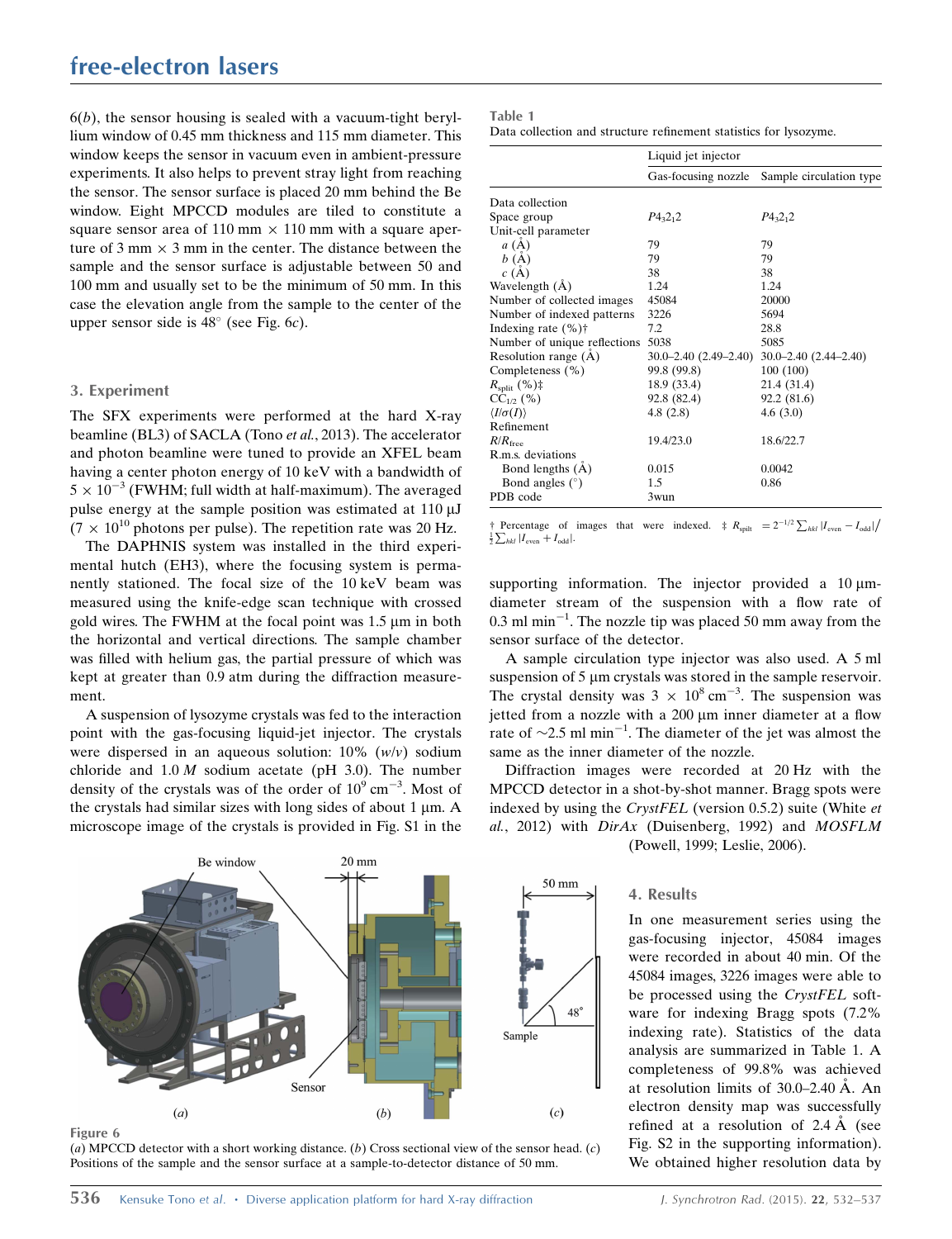$6(b)$ , the sensor housing is sealed with a vacuum-tight beryllium window of 0.45 mm thickness and 115 mm diameter. This window keeps the sensor in vacuum even in ambient-pressure experiments. It also helps to prevent stray light from reaching the sensor. The sensor surface is placed 20 mm behind the Be window. Eight MPCCD modules are tiled to constitute a square sensor area of 110 mm  $\times$  110 mm with a square aperture of 3 mm  $\times$  3 mm in the center. The distance between the sample and the sensor surface is adjustable between 50 and 100 mm and usually set to be the minimum of 50 mm. In this case the elevation angle from the sample to the center of the upper sensor side is  $48^\circ$  (see Fig. 6c).

## 3. Experiment

The SFX experiments were performed at the hard X-ray beamline (BL3) of SACLA (Tono et al., 2013). The accelerator and photon beamline were tuned to provide an XFEL beam having a center photon energy of 10 keV with a bandwidth of  $5 \times 10^{-3}$  (FWHM; full width at half-maximum). The averaged pulse energy at the sample position was estimated at  $110 \mu J$  $(7 \times 10^{10}$  photons per pulse). The repetition rate was 20 Hz.

The DAPHNIS system was installed in the third experimental hutch (EH3), where the focusing system is permanently stationed. The focal size of the 10 keV beam was measured using the knife-edge scan technique with crossed gold wires. The FWHM at the focal point was  $1.5 \mu m$  in both the horizontal and vertical directions. The sample chamber was filled with helium gas, the partial pressure of which was kept at greater than 0.9 atm during the diffraction measurement.

A suspension of lysozyme crystals was fed to the interaction point with the gas-focusing liquid-jet injector. The crystals were dispersed in an aqueous solution:  $10\%$  (w/v) sodium chloride and  $1.0 M$  sodium acetate (pH 3.0). The number density of the crystals was of the order of  $10^9$  cm<sup>-3</sup>. Most of the crystals had similar sizes with long sides of about  $1 \mu m$ . A microscope image of the crystals is provided in Fig. S1 in the



Figure 6

(a) MPCCD detector with a short working distance. (b) Cross sectional view of the sensor head. (c) Positions of the sample and the sensor surface at a sample-to-detector distance of 50 mm.

| ۰<br>٠ | ۰.<br>-<br>۹ |  |
|--------|--------------|--|
|--------|--------------|--|

| Data collection and structure refinement statistics for lysozyme. |  |
|-------------------------------------------------------------------|--|
|-------------------------------------------------------------------|--|

|                              | Liquid jet injector           |                               |  |
|------------------------------|-------------------------------|-------------------------------|--|
|                              | Gas-focusing nozzle           | Sample circulation type       |  |
| Data collection              |                               |                               |  |
| Space group                  | $P_{3,2,2}$                   | $P_{{}^{4}3}2_{1}2$           |  |
| Unit-cell parameter          |                               |                               |  |
| a(A)                         | 79                            | 79                            |  |
| b(A)                         | 79                            | 79                            |  |
| c(A)                         | 38                            | 38                            |  |
| Wavelength (A)               | 1.24                          | 1.24                          |  |
| Number of collected images   | 45084                         | 20000                         |  |
| Number of indexed patterns   | 3226                          | 5694                          |  |
| Indexing rate $(\% )\dagger$ | 7.2                           | 28.8                          |  |
| Number of unique reflections | 5038                          | 5085                          |  |
| Resolution range (Å)         | $30.0 - 2.40$ $(2.49 - 2.40)$ | $30.0 - 2.40$ $(2.44 - 2.40)$ |  |
| Completeness (%)             | 99.8 (99.8)                   | 100(100)                      |  |
| $R_{\text{split}}$ (%)‡      | 18.9 (33.4)                   | 21.4 (31.4)                   |  |
| $CC_{1/2}$ (%)               | 92.8 (82.4)                   | 92.2(81.6)                    |  |
| $\langle I/\sigma(I)\rangle$ | 4.8(2.8)                      | 4.6(3.0)                      |  |
| Refinement                   |                               |                               |  |
| $R/R$ <sub>free</sub>        | 19.4/23.0                     | 18.6/22.7                     |  |
| R.m.s. deviations            |                               |                               |  |
| Bond lengths $(A)$           | 0.015                         | 0.0042                        |  |
| Bond angles $(°)$            | 1.5                           | 0.86                          |  |
| PDB code                     | 3wun                          |                               |  |

† Percentage of images that were indexed.  $\ddagger R_{split} = 2^{-1/2} \sum_{hkl} |I_{even} - I_{odd}|/$  $\frac{1}{2} \sum_{hkl} |I_{\text{even}} + I_{\text{odd}}|$ .

supporting information. The injector provided a  $10 \mu m$ diameter stream of the suspension with a flow rate of  $0.3$  ml min<sup>-1</sup>. The nozzle tip was placed 50 mm away from the sensor surface of the detector.

A sample circulation type injector was also used. A 5 ml suspension of 5 um crystals was stored in the sample reservoir. The crystal density was  $3 \times 10^8$  cm<sup>-3</sup>. The suspension was jetted from a nozzle with a  $200 \mu m$  inner diameter at a flow rate of  $\sim$ 2.5 ml min<sup>-1</sup>. The diameter of the jet was almost the same as the inner diameter of the nozzle.

Diffraction images were recorded at 20 Hz with the MPCCD detector in a shot-by-shot manner. Bragg spots were indexed by using the CrystFEL (version 0.5.2) suite (White et al., 2012) with DirAx (Duisenberg, 1992) and MOSFLM (Powell, 1999; Leslie, 2006).

## 4. Results

In one measurement series using the gas-focusing injector, 45084 images were recorded in about 40 min. Of the 45084 images, 3226 images were able to be processed using the CrystFEL software for indexing Bragg spots (7.2% indexing rate). Statistics of the data analysis are summarized in Table 1. A completeness of 99.8% was achieved at resolution limits of  $30.0-2.40 \text{ Å}$ . An electron density map was successfully refined at a resolution of  $2.4 \text{ Å}$  (see Fig. S2 in the supporting information). We obtained higher resolution data by